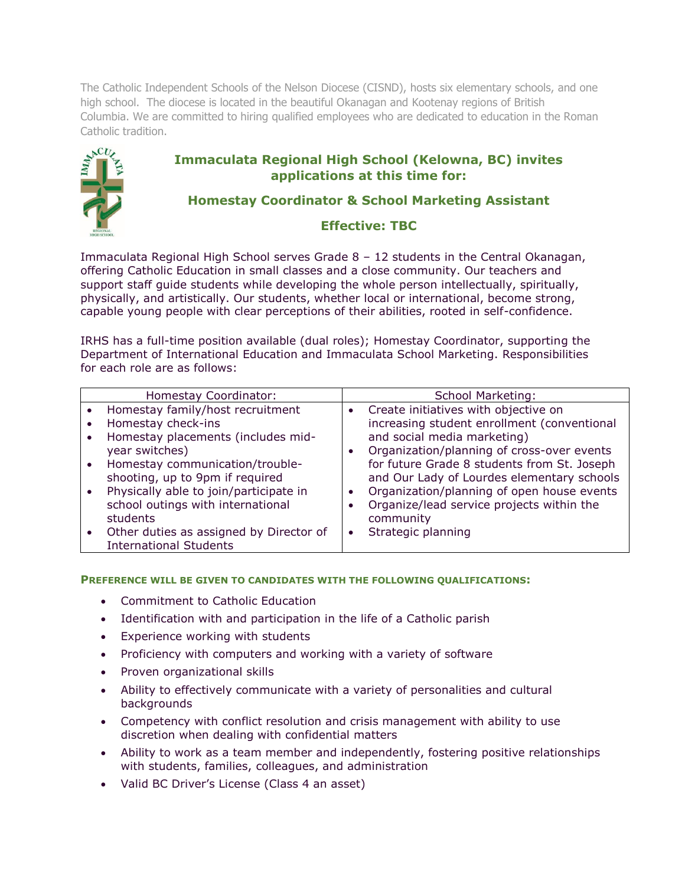The Catholic Independent Schools of the Nelson Diocese (CISND), hosts six elementary schools, and one high school. The diocese is located in the beautiful Okanagan and Kootenay regions of British Columbia. We are committed to hiring qualified employees who are dedicated to education in the Roman Catholic tradition.

# **Immaculata Regional High School (Kelowna, BC) invites applications at this time for:**



# **Homestay Coordinator & School Marketing Assistant**

## **Effective: TBC**

Immaculata Regional High School serves Grade  $8 - 12$  students in the Central Okanagan, offering Catholic Education in small classes and a close community. Our teachers and support staff guide students while developing the whole person intellectually, spiritually, physically, and artistically. Our students, whether local or international, become strong, capable young people with clear perceptions of their abilities, rooted in self-confidence.

IRHS has a full-time position available (dual roles); Homestay Coordinator, supporting the Department of International Education and Immaculata School Marketing. Responsibilities for each role are as follows:

|           | Homestay Coordinator:                                                                                                                                                                                                                                                           |           | School Marketing:                                                                                                                                                                                                                                                                                                                                                     |
|-----------|---------------------------------------------------------------------------------------------------------------------------------------------------------------------------------------------------------------------------------------------------------------------------------|-----------|-----------------------------------------------------------------------------------------------------------------------------------------------------------------------------------------------------------------------------------------------------------------------------------------------------------------------------------------------------------------------|
|           | Homestay family/host recruitment<br>Homestay check-ins<br>Homestay placements (includes mid-<br>year switches)<br>Homestay communication/trouble-<br>shooting, up to 9pm if required<br>Physically able to join/participate in<br>school outings with international<br>students | $\bullet$ | Create initiatives with objective on<br>increasing student enrollment (conventional<br>and social media marketing)<br>Organization/planning of cross-over events<br>for future Grade 8 students from St. Joseph<br>and Our Lady of Lourdes elementary schools<br>Organization/planning of open house events<br>Organize/lead service projects within the<br>community |
| $\bullet$ | Other duties as assigned by Director of<br><b>International Students</b>                                                                                                                                                                                                        | $\bullet$ | Strategic planning                                                                                                                                                                                                                                                                                                                                                    |

#### **PREFERENCE WILL BE GIVEN TO CANDIDATES WITH THE FOLLOWING QUALIFICATIONS:**

- Commitment to Catholic Education
- Identification with and participation in the life of a Catholic parish
- Experience working with students
- Proficiency with computers and working with a variety of software
- Proven organizational skills
- Ability to effectively communicate with a variety of personalities and cultural backgrounds
- Competency with conflict resolution and crisis management with ability to use discretion when dealing with confidential matters
- Ability to work as a team member and independently, fostering positive relationships with students, families, colleagues, and administration
- Valid BC Driver's License (Class 4 an asset)